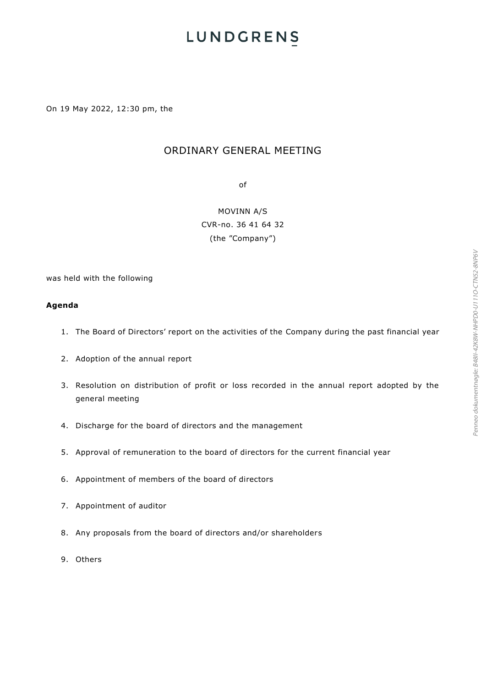On 19 May 2022, 12:30 pm, the

## ORDINARY GENERAL MEETING

of

MOVINN A/S CVR-no. 36 41 64 32 (the "Company")

was held with the following

#### **Agenda**

- 1. The Board of Directors' report on the activities of the Company during the past financial year
- 2. Adoption of the annual report
- 3. Resolution on distribution of profit or loss recorded in the annual report adopted by the general meeting
- 4. Discharge for the board of directors and the management
- 5. Approval of remuneration to the board of directors for the current financial year
- 6. Appointment of members of the board of directors
- 7. Appointment of auditor
- 8. Any proposals from the board of directors and/or shareholders
- 9. Others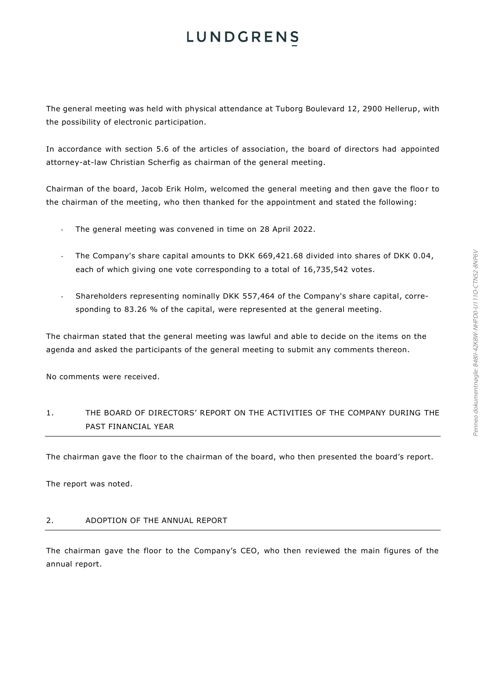The general meeting was held with physical attendance at Tuborg Boulevard 12, 2900 Hellerup, with the possibility of electronic participation.

In accordance with section 5.6 of the articles of association, the board of directors had appointed attorney-at-law Christian Scherfig as chairman of the general meeting.

Chairman of the board, Jacob Erik Holm, welcomed the general meeting and then gave the floor to the chairman of the meeting, who then thanked for the appointment and stated the following:

- The general meeting was convened in time on 28 April 2022.
- The Company's share capital amounts to DKK 669,421.68 divided into shares of DKK 0.04, each of which giving one vote corresponding to a total of 16,735,542 votes.
- Shareholders representing nominally DKK 557,464 of the Company's share capital, corresponding to 83.26 % of the capital, were represented at the general meeting.

The chairman stated that the general meeting was lawful and able to decide on the items on the agenda and asked the participants of the general meeting to submit any comments thereon.

No comments were received.

1. THE BOARD OF DIRECTORS' REPORT ON THE ACTIVITIES OF THE COMPANY DURING THE PAST FINANCIAL YEAR

The chairman gave the floor to the chairman of the board, who then presented the board's report.

The report was noted.

#### 2. ADOPTION OF THE ANNUAL REPORT

The chairman gave the floor to the Company's CEO, who then reviewed the main figures of the annual report.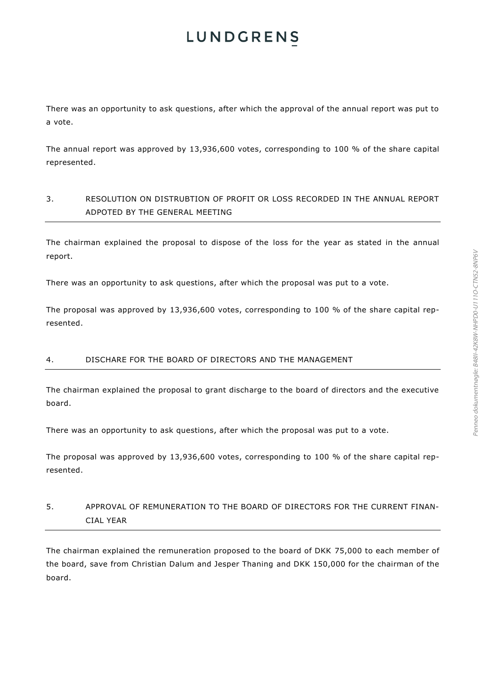There was an opportunity to ask questions, after which the approval of the annual report was put to a vote.

The annual report was approved by 13,936,600 votes, corresponding to 100 % of the share capital represented.

## 3. RESOLUTION ON DISTRUBTION OF PROFIT OR LOSS RECORDED IN THE ANNUAL REPORT ADPOTED BY THE GENERAL MEETING

The chairman explained the proposal to dispose of the loss for the year as stated in the annual report.

There was an opportunity to ask questions, after which the proposal was put to a vote.

The proposal was approved by 13,936,600 votes, corresponding to 100 % of the share capital represented.

### 4. DISCHARE FOR THE BOARD OF DIRECTORS AND THE MANAGEMENT

The chairman explained the proposal to grant discharge to the board of directors and the executive board.

There was an opportunity to ask questions, after which the proposal was put to a vote.

The proposal was approved by 13,936,600 votes, corresponding to 100 % of the share capital represented.

# 5. APPROVAL OF REMUNERATION TO THE BOARD OF DIRECTORS FOR THE CURRENT FINAN-CIAL YEAR

The chairman explained the remuneration proposed to the board of DKK 75,000 to each member of the board, save from Christian Dalum and Jesper Thaning and DKK 150,000 for the chairman of the board.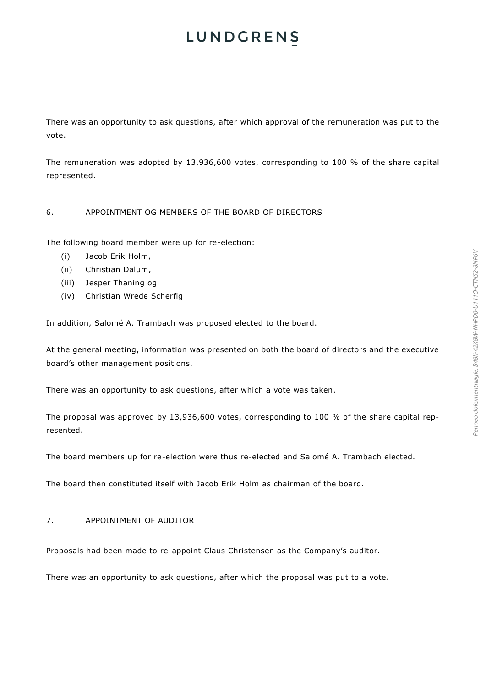There was an opportunity to ask questions, after which approval of the remuneration was put to the vote.

The remuneration was adopted by 13,936,600 votes, corresponding to 100 % of the share capital represented.

### 6. APPOINTMENT OG MEMBERS OF THE BOARD OF DIRECTORS

The following board member were up for re-election:

- (i) Jacob Erik Holm,
- (ii) Christian Dalum,
- (iii) Jesper Thaning og
- (iv) Christian Wrede Scherfig

In addition, Salomé A. Trambach was proposed elected to the board.

At the general meeting, information was presented on both the board of directors and the executive board's other management positions.

There was an opportunity to ask questions, after which a vote was taken.

The proposal was approved by 13,936,600 votes, corresponding to 100 % of the share capital represented.

The board members up for re-election were thus re-elected and Salomé A. Trambach elected.

The board then constituted itself with Jacob Erik Holm as chairman of the board.

#### 7. APPOINTMENT OF AUDITOR

Proposals had been made to re-appoint Claus Christensen as the Company's auditor.

There was an opportunity to ask questions, after which the proposal was put to a vote.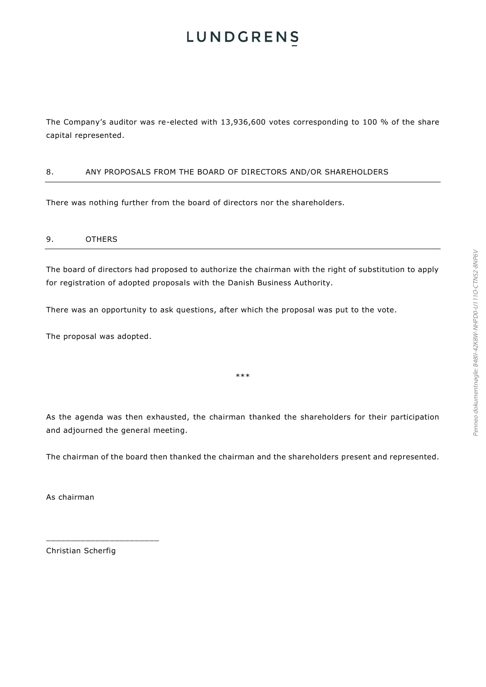The Company's auditor was re-elected with 13,936,600 votes corresponding to 100 % of the share capital represented.

### 8. ANY PROPOSALS FROM THE BOARD OF DIRECTORS AND/OR SHAREHOLDERS

There was nothing further from the board of directors nor the shareholders.

### 9. OTHERS

The board of directors had proposed to authorize the chairman with the right of substitution to apply for registration of adopted proposals with the Danish Business Authority.

There was an opportunity to ask questions, after which the proposal was put to the vote.

The proposal was adopted.

\*\*\*

As the agenda was then exhausted, the chairman thanked the shareholders for their participation and adjourned the general meeting.

The chairman of the board then thanked the chairman and the shareholders present and represented.

As chairman

Christian Scherfig

\_\_\_\_\_\_\_\_\_\_\_\_\_\_\_\_\_\_\_\_\_\_\_